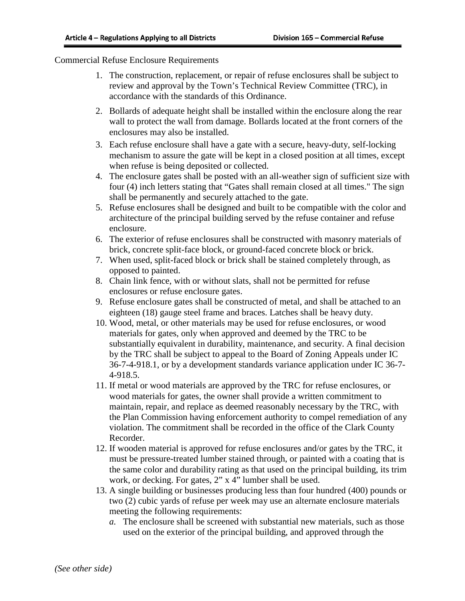## Commercial Refuse Enclosure Requirements

- 1. The construction, replacement, or repair of refuse enclosures shall be subject to review and approval by the Town's Technical Review Committee (TRC), in accordance with the standards of this Ordinance.
- 2. Bollards of adequate height shall be installed within the enclosure along the rear wall to protect the wall from damage. Bollards located at the front corners of the enclosures may also be installed.
- 3. Each refuse enclosure shall have a gate with a secure, heavy-duty, self-locking mechanism to assure the gate will be kept in a closed position at all times, except when refuse is being deposited or collected.
- 4. The enclosure gates shall be posted with an all-weather sign of sufficient size with four (4) inch letters stating that "Gates shall remain closed at all times." The sign shall be permanently and securely attached to the gate.
- 5. Refuse enclosures shall be designed and built to be compatible with the color and architecture of the principal building served by the refuse container and refuse enclosure.
- 6. The exterior of refuse enclosures shall be constructed with masonry materials of brick, concrete split-face block, or ground-faced concrete block or brick.
- 7. When used, split-faced block or brick shall be stained completely through, as opposed to painted.
- 8. Chain link fence, with or without slats, shall not be permitted for refuse enclosures or refuse enclosure gates.
- 9. Refuse enclosure gates shall be constructed of metal, and shall be attached to an eighteen (18) gauge steel frame and braces. Latches shall be heavy duty.
- 10. Wood, metal, or other materials may be used for refuse enclosures, or wood materials for gates, only when approved and deemed by the TRC to be substantially equivalent in durability, maintenance, and security. A final decision by the TRC shall be subject to appeal to the Board of Zoning Appeals under IC 36-7-4-918.1, or by a development standards variance application under IC 36-7- 4-918.5.
- 11. If metal or wood materials are approved by the TRC for refuse enclosures, or wood materials for gates, the owner shall provide a written commitment to maintain, repair, and replace as deemed reasonably necessary by the TRC, with the Plan Commission having enforcement authority to compel remediation of any violation. The commitment shall be recorded in the office of the Clark County Recorder.
- 12. If wooden material is approved for refuse enclosures and/or gates by the TRC, it must be pressure-treated lumber stained through, or painted with a coating that is the same color and durability rating as that used on the principal building, its trim work, or decking. For gates, 2" x 4" lumber shall be used.
- 13. A single building or businesses producing less than four hundred (400) pounds or two (2) cubic yards of refuse per week may use an alternate enclosure materials meeting the following requirements:
	- *a.* The enclosure shall be screened with substantial new materials, such as those used on the exterior of the principal building, and approved through the